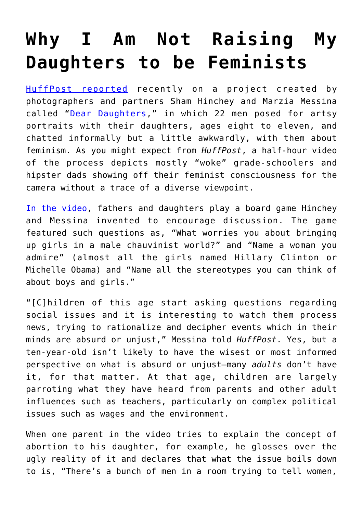## **[Why I Am Not Raising My](https://intellectualtakeout.org/2017/10/why-i-am-not-raising-my-daughters-to-be-feminists/) [Daughters to be Feminists](https://intellectualtakeout.org/2017/10/why-i-am-not-raising-my-daughters-to-be-feminists/)**

[HuffPost reported](https://www.huffingtonpost.com/entry/dear-daughters-project-asks-fathers-to-talk-to-their-daughters-about-feminism_us_59d662b3e4b0380b6c9ae19b) recently on a project created by photographers and partners Sham Hinchey and Marzia Messina called "[Dear Daughters,](https://www.facebook.com/marsandsham/?ref=bookmarks)" in which 22 men posed for artsy portraits with their daughters, ages eight to eleven, and chatted informally but a little awkwardly, with them about feminism. As you might expect from *HuffPost*, a half-hour video of the process depicts mostly "woke" grade-schoolers and hipster dads showing off their feminist consciousness for the camera without a trace of a diverse viewpoint.

[In the video,](https://www.youtube.com/watch?v=VearpUZDSkg) fathers and daughters play a board game Hinchey and Messina invented to encourage discussion. The game featured such questions as, "What worries you about bringing up girls in a male chauvinist world?" and "Name a woman you admire" (almost all the girls named Hillary Clinton or Michelle Obama) and "Name all the stereotypes you can think of about boys and girls."

"[C]hildren of this age start asking questions regarding social issues and it is interesting to watch them process news, trying to rationalize and decipher events which in their minds are absurd or unjust," Messina told *HuffPost*. Yes, but a ten-year-old isn't likely to have the wisest or most informed perspective on what is absurd or unjust—many *adults* don't have it, for that matter. At that age, children are largely parroting what they have heard from parents and other adult influences such as teachers, particularly on complex political issues such as wages and the environment.

When one parent in the video tries to explain the concept of abortion to his daughter, for example, he glosses over the ugly reality of it and declares that what the issue boils down to is, "There's a bunch of men in a room trying to tell women,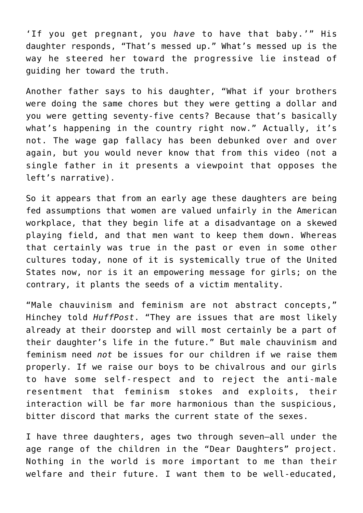'If you get pregnant, you *have* to have that baby.'" His daughter responds, "That's messed up." What's messed up is the way he steered her toward the progressive lie instead of guiding her toward the truth.

Another father says to his daughter, "What if your brothers were doing the same chores but they were getting a dollar and you were getting seventy-five cents? Because that's basically what's happening in the country right now." Actually, it's not. The wage gap fallacy has been debunked over and over again, but you would never know that from this video (not a single father in it presents a viewpoint that opposes the left's narrative).

So it appears that from an early age these daughters are being fed assumptions that women are valued unfairly in the American workplace, that they begin life at a disadvantage on a skewed playing field, and that men want to keep them down. Whereas that certainly was true in the past or even in some other cultures today, none of it is systemically true of the United States now, nor is it an empowering message for girls; on the contrary, it plants the seeds of a victim mentality.

"Male chauvinism and feminism are not abstract concepts," Hinchey told *HuffPost*. "They are issues that are most likely already at their doorstep and will most certainly be a part of their daughter's life in the future." But male chauvinism and feminism need *not* be issues for our children if we raise them properly. If we raise our boys to be chivalrous and our girls to have some self-respect and to reject the anti-male resentment that feminism stokes and exploits, their interaction will be far more harmonious than the suspicious, bitter discord that marks the current state of the sexes.

I have three daughters, ages two through seven—all under the age range of the children in the "Dear Daughters" project. Nothing in the world is more important to me than their welfare and their future. I want them to be well-educated,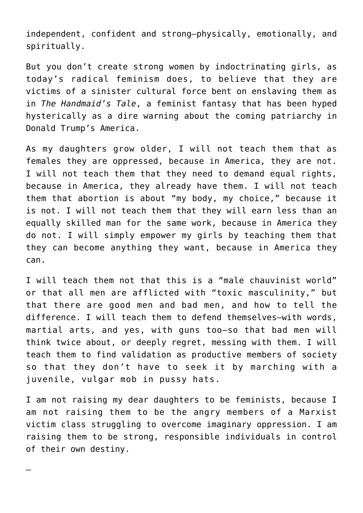independent, confident and strong—physically, emotionally, and spiritually.

But you don't create strong women by indoctrinating girls, as today's radical feminism does, to believe that they are victims of a sinister cultural force bent on enslaving them as in *The Handmaid's Tale*, a feminist fantasy that has been hyped hysterically as a dire warning about the coming patriarchy in Donald Trump's America.

As my daughters grow older, I will not teach them that as females they are oppressed, because in America, they are not. I will not teach them that they need to demand equal rights, because in America, they already have them. I will not teach them that abortion is about "my body, my choice," because it is not. I will not teach them that they will earn less than an equally skilled man for the same work, because in America they do not. I will simply empower my girls by teaching them that they can become anything they want, because in America they can.

I will teach them not that this is a "male chauvinist world" or that all men are afflicted with "toxic masculinity," but that there are good men and bad men, and how to tell the difference. I will teach them to defend themselves—with words, martial arts, and yes, with guns too—so that bad men will think twice about, or deeply regret, messing with them. I will teach them to find validation as productive members of society so that they don't have to seek it by marching with a juvenile, vulgar mob in pussy hats.

I am not raising my dear daughters to be feminists, because I am not raising them to be the angry members of a Marxist victim class struggling to overcome imaginary oppression. I am raising them to be strong, responsible individuals in control of their own destiny.

–